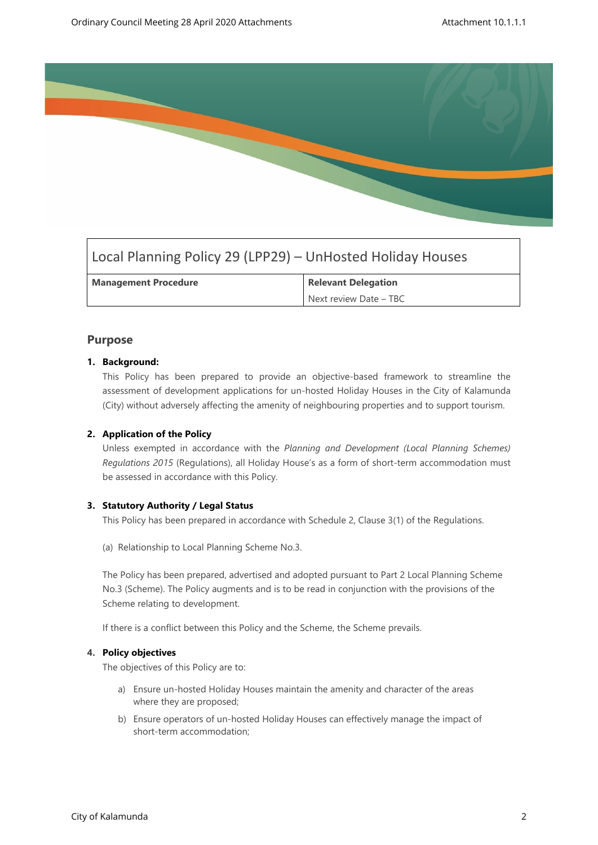

# Local Planning Policy 29 (LPP29) – UnHosted Holiday Houses

| <b>Management Procedure</b> | <b>Relevant Delegation</b> |
|-----------------------------|----------------------------|
|                             | Next review Date - TBC     |

# **Purpose**

## **1. Background:**

This Policy has been prepared to provide an objective-based framework to streamline the assessment of development applications for un-hosted Holiday Houses in the City of Kalamunda (City) without adversely affecting the amenity of neighbouring properties and to support tourism.

# **2. Application of the Policy**

Unless exempted in accordance with the *Planning and Development (Local Planning Schemes) Regulations 2015* (Regulations), all Holiday House's as a form of short-term accommodation must be assessed in accordance with this Policy.

# **3. Statutory Authority / Legal Status**

This Policy has been prepared in accordance with Schedule 2, Clause 3(1) of the Regulations.

(a) Relationship to Local Planning Scheme No.3.

The Policy has been prepared, advertised and adopted pursuant to Part 2 Local Planning Scheme No.3 (Scheme). The Policy augments and is to be read in conjunction with the provisions of the Scheme relating to development.

If there is a conflict between this Policy and the Scheme, the Scheme prevails.

### **4. Policy objectives**

The objectives of this Policy are to:

- a) Ensure un-hosted Holiday Houses maintain the amenity and character of the areas where they are proposed;
- b) Ensure operators of un-hosted Holiday Houses can effectively manage the impact of short-term accommodation;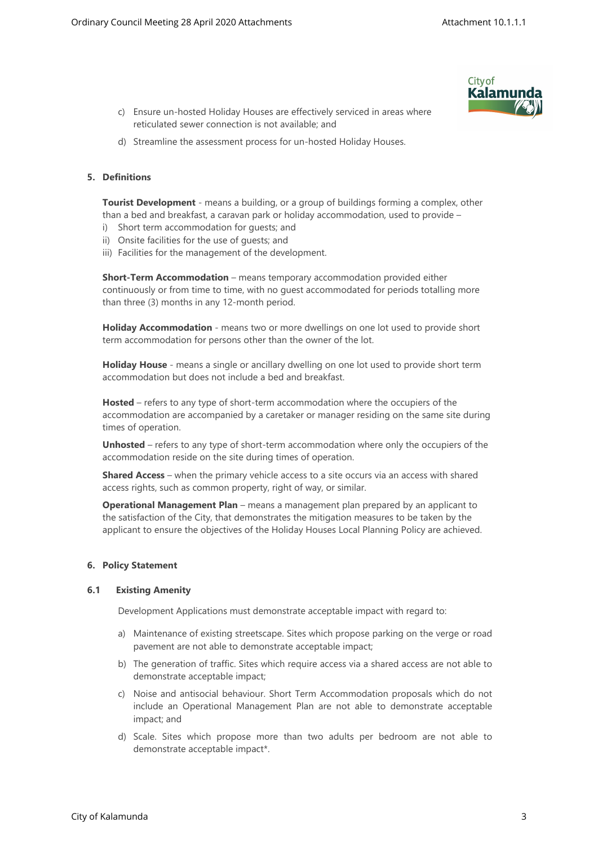

- c) Ensure un-hosted Holiday Houses are effectively serviced in areas where reticulated sewer connection is not available; and
- d) Streamline the assessment process for un-hosted Holiday Houses.

#### **5. Definitions**

**Tourist Development** - means a building, or a group of buildings forming a complex, other than a bed and breakfast, a caravan park or holiday accommodation, used to provide –

- i) Short term accommodation for guests; and
- ii) Onsite facilities for the use of guests; and
- iii) Facilities for the management of the development.

**Short-Term Accommodation** – means temporary accommodation provided either continuously or from time to time, with no guest accommodated for periods totalling more than three (3) months in any 12-month period.

**Holiday Accommodation** - means two or more dwellings on one lot used to provide short term accommodation for persons other than the owner of the lot.

**Holiday House** - means a single or ancillary dwelling on one lot used to provide short term accommodation but does not include a bed and breakfast.

**Hosted** – refers to any type of short-term accommodation where the occupiers of the accommodation are accompanied by a caretaker or manager residing on the same site during times of operation.

**Unhosted** – refers to any type of short-term accommodation where only the occupiers of the accommodation reside on the site during times of operation.

**Shared Access** – when the primary vehicle access to a site occurs via an access with shared access rights, such as common property, right of way, or similar.

**Operational Management Plan** – means a management plan prepared by an applicant to the satisfaction of the City, that demonstrates the mitigation measures to be taken by the applicant to ensure the objectives of the Holiday Houses Local Planning Policy are achieved.

#### **6. Policy Statement**

#### **6.1 Existing Amenity**

Development Applications must demonstrate acceptable impact with regard to:

- a) Maintenance of existing streetscape. Sites which propose parking on the verge or road pavement are not able to demonstrate acceptable impact;
- b) The generation of traffic. Sites which require access via a shared access are not able to demonstrate acceptable impact;
- c) Noise and antisocial behaviour. Short Term Accommodation proposals which do not include an Operational Management Plan are not able to demonstrate acceptable impact; and
- d) Scale. Sites which propose more than two adults per bedroom are not able to demonstrate acceptable impact\*.